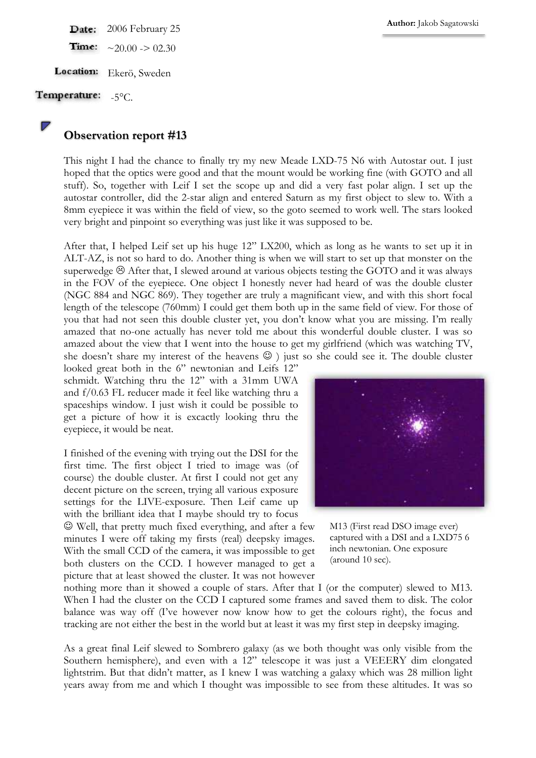Date: 2006 February 25

Time:  $\sim$ 20.00 -> 02.30

Location: Ekerö, Sweden

Temperature:  $-5^{\circ}$ C.

## Observation report #13

This night I had the chance to finally try my new Meade LXD-75 N6 with Autostar out. I just hoped that the optics were good and that the mount would be working fine (with GOTO and all stuff). So, together with Leif I set the scope up and did a very fast polar align. I set up the autostar controller, did the 2-star align and entered Saturn as my first object to slew to. With a 8mm eyepiece it was within the field of view, so the goto seemed to work well. The stars looked very bright and pinpoint so everything was just like it was supposed to be.

After that, I helped Leif set up his huge 12" LX200, which as long as he wants to set up it in ALT-AZ, is not so hard to do. Another thing is when we will start to set up that monster on the superwedge  $\odot$  After that, I slewed around at various objects testing the GOTO and it was always in the FOV of the eyepiece. One object I honestly never had heard of was the double cluster (NGC 884 and NGC 869). They together are truly a magnificant view, and with this short focal length of the telescope (760mm) I could get them both up in the same field of view. For those of you that had not seen this double cluster yet, you don't know what you are missing. I'm really amazed that no-one actually has never told me about this wonderful double cluster. I was so amazed about the view that I went into the house to get my girlfriend (which was watching TV, she doesn't share my interest of the heavens  $\odot$ ) just so she could see it. The double cluster

looked great both in the 6" newtonian and Leifs 12" schmidt. Watching thru the 12" with a 31mm UWA and f/0.63 FL reducer made it feel like watching thru a spaceships window. I just wish it could be possible to get a picture of how it is excactly looking thru the eyepiece, it would be neat.

I finished of the evening with trying out the DSI for the first time. The first object I tried to image was (of course) the double cluster. At first I could not get any decent picture on the screen, trying all various exposure settings for the LIVE-exposure. Then Leif came up with the brilliant idea that I maybe should try to focus

☺ Well, that pretty much fixed everything, and after a few minutes I were off taking my firsts (real) deepsky images. With the small CCD of the camera, it was impossible to get both clusters on the CCD. I however managed to get a picture that at least showed the cluster. It was not however



M13 (First read DSO image ever) captured with a DSI and a LXD75 6 inch newtonian. One exposure (around 10 sec).

nothing more than it showed a couple of stars. After that I (or the computer) slewed to M13. When I had the cluster on the CCD I captured some frames and saved them to disk. The color balance was way off (I've however now know how to get the colours right), the focus and tracking are not either the best in the world but at least it was my first step in deepsky imaging.

As a great final Leif slewed to Sombrero galaxy (as we both thought was only visible from the Southern hemisphere), and even with a 12" telescope it was just a VEEERY dim elongated lightstrim. But that didn't matter, as I knew I was watching a galaxy which was 28 million light years away from me and which I thought was impossible to see from these altitudes. It was so